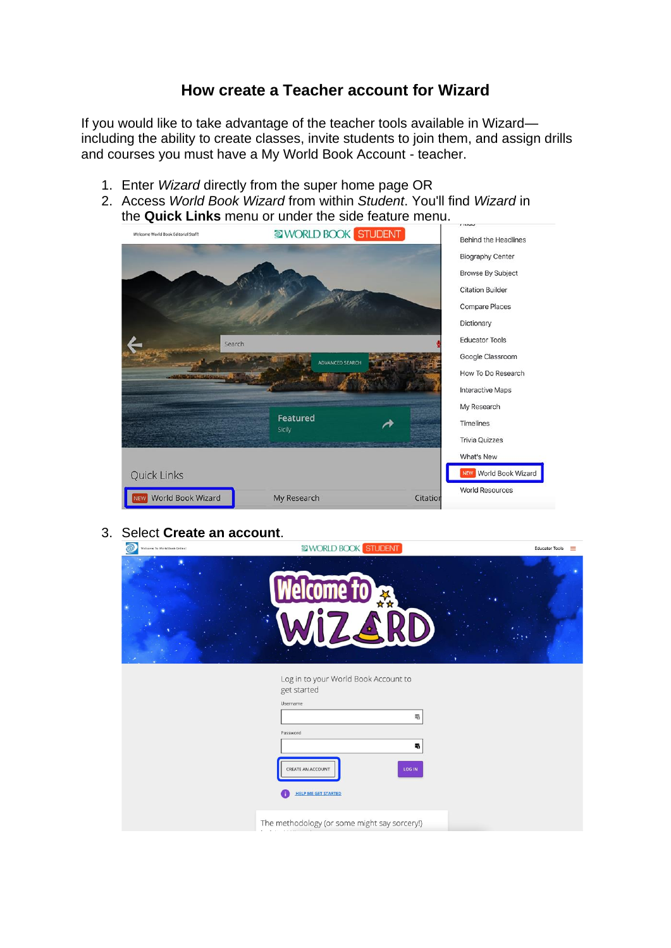## **How create a Teacher account for Wizard**

If you would like to take advantage of the teacher tools available in Wizard including the ability to create classes, invite students to join them, and assign drills and courses you must have a My World Book Account - teacher.

- 1. Enter *Wizard* directly from the super home page OR
- 2. Access *World Book Wizard* from within *Student*. You'll find *Wizard* in the **Quick Links** menu or under the side feature menu.



3. Select **Create an account**.

| Welcome To World Book Online! | WORLD BOOK STUDENT                                                         | <b>Educator Tools</b><br>$\equiv$ |
|-------------------------------|----------------------------------------------------------------------------|-----------------------------------|
|                               | Welcome to x                                                               |                                   |
|                               | Log in to your World Book Account to<br>get started<br>Username<br>喝       |                                   |
|                               | Password<br>щ<br>LOG IN<br>CREATE AN ACCOUNT<br><b>HELP ME GET STARTED</b> |                                   |
|                               | The methodology (or some might say sorcery!)                               |                                   |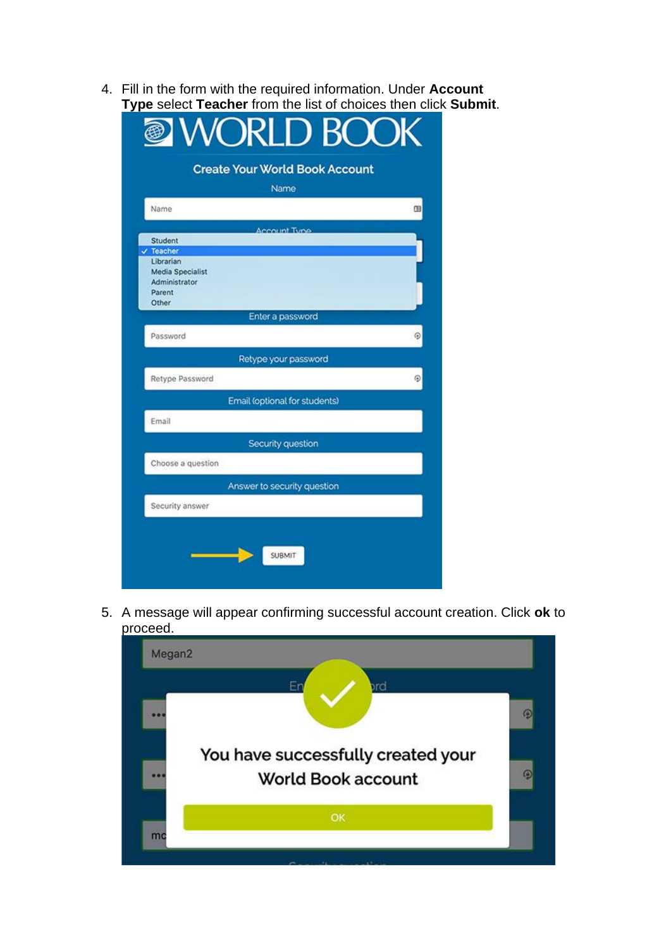4. Fill in the form with the required information. Under **Account Type** select **Teacher** from the list of choices then click **Submit**.

| <b>III WORLD BOOK</b>                 |   |  |
|---------------------------------------|---|--|
| <b>Create Your World Book Account</b> |   |  |
| Name                                  |   |  |
| Name                                  | 咀 |  |
|                                       |   |  |
| Account Type<br>Student               |   |  |
| $\checkmark$ Teacher                  |   |  |
| Librarian                             |   |  |
| Media Specialist                      |   |  |
| Administrator                         |   |  |
| Parent                                |   |  |
| Other                                 |   |  |
| Enter a password                      |   |  |
| Password                              | ⊕ |  |
| Retype your password                  |   |  |
| Retype Password                       | Θ |  |
| Email (optional for students)         |   |  |
| Email                                 |   |  |
| Security question                     |   |  |
| Choose a question                     |   |  |
| Answer to security question           |   |  |
| Security answer                       |   |  |
| SUBMIT                                |   |  |

5. A message will appear confirming successful account creation. Click **ok** to proceed.